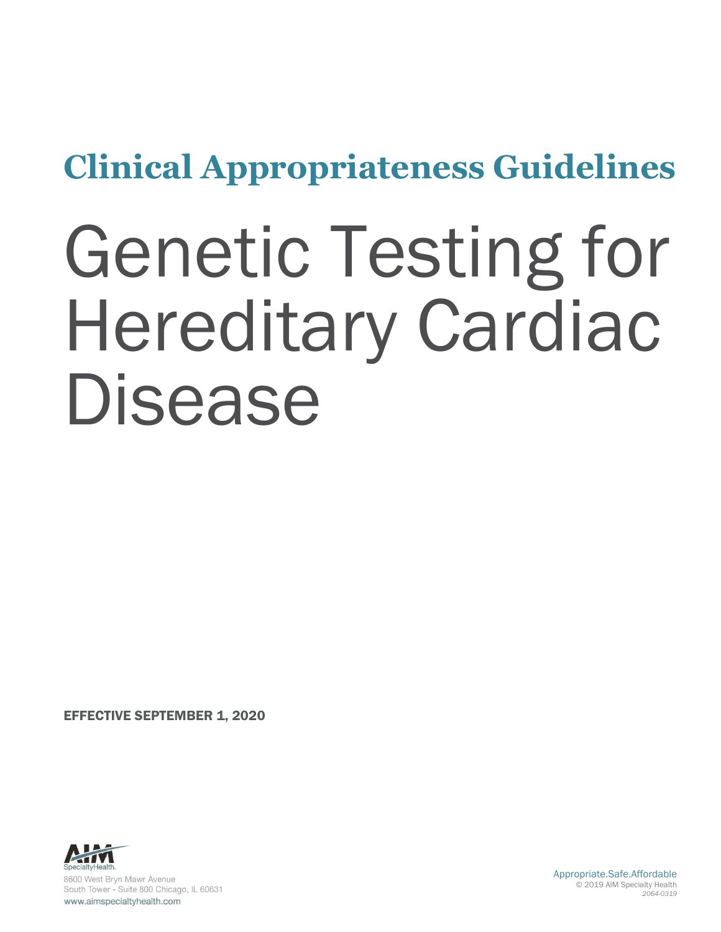# **Clinical Appropriateness Guidelines**

# Genetic Testing for Hereditary Cardiac Disease

EFFECTIVE SEPTEMBER 1, 2020

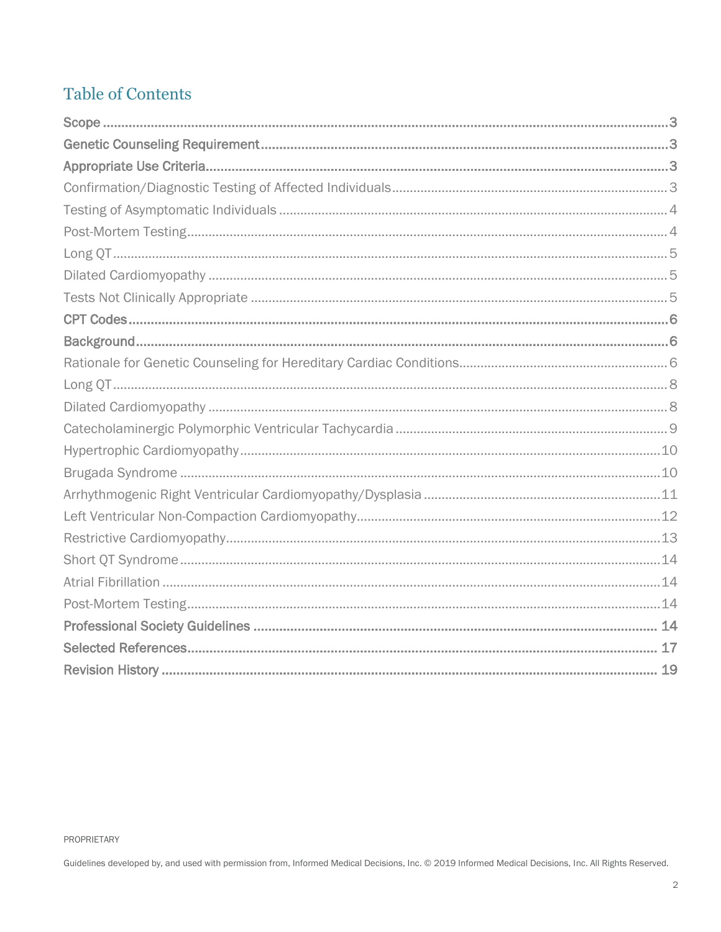### **Table of Contents**

PROPRIETARY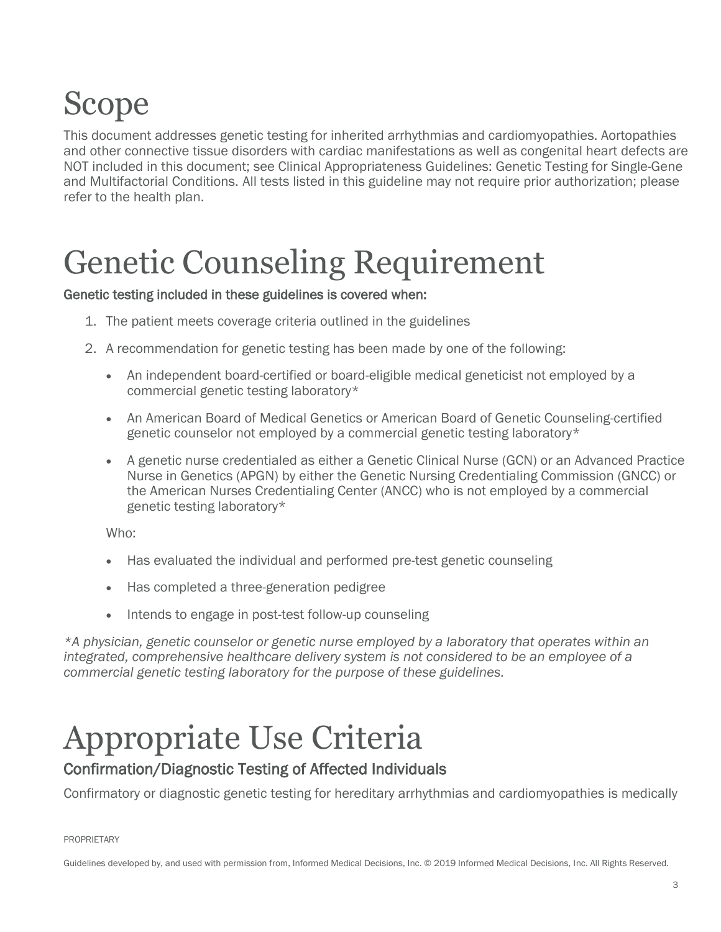# <span id="page-2-0"></span>Scope

This document addresses genetic testing for inherited arrhythmias and cardiomyopathies. Aortopathies and other connective tissue disorders with cardiac manifestations as well as congenital heart defects are NOT included in this document; see Clinical Appropriateness Guidelines: Genetic Testing for Single-Gene and Multifactorial Conditions. All tests listed in this guideline may not require prior authorization; please refer to the health plan.

## <span id="page-2-1"></span>Genetic Counseling Requirement

#### Genetic testing included in these guidelines is covered when:

- 1. The patient meets coverage criteria outlined in the guidelines
- 2. A recommendation for genetic testing has been made by one of the following:
	- An independent board-certified or board-eligible medical geneticist not employed by a commercial genetic testing laboratory\*
	- An American Board of Medical Genetics or American Board of Genetic Counseling-certified genetic counselor not employed by a commercial genetic testing laboratory\*
	- A genetic nurse credentialed as either a Genetic Clinical Nurse (GCN) or an Advanced Practice Nurse in Genetics (APGN) by either the Genetic Nursing Credentialing Commission (GNCC) or the American Nurses Credentialing Center (ANCC) who is not employed by a commercial genetic testing laboratory\*

Who:

- Has evaluated the individual and performed pre-test genetic counseling
- Has completed a three-generation pedigree
- Intends to engage in post-test follow-up counseling

*\*A physician, genetic counselor or genetic nurse employed by a laboratory that operates within an integrated, comprehensive healthcare delivery system is not considered to be an employee of a commercial genetic testing laboratory for the purpose of these guidelines.*

### <span id="page-2-2"></span>Appropriate Use Criteria

#### <span id="page-2-3"></span>Confirmation/Diagnostic Testing of Affected Individuals

Confirmatory or diagnostic genetic testing for hereditary arrhythmias and cardiomyopathies is medically

PROPRIETARY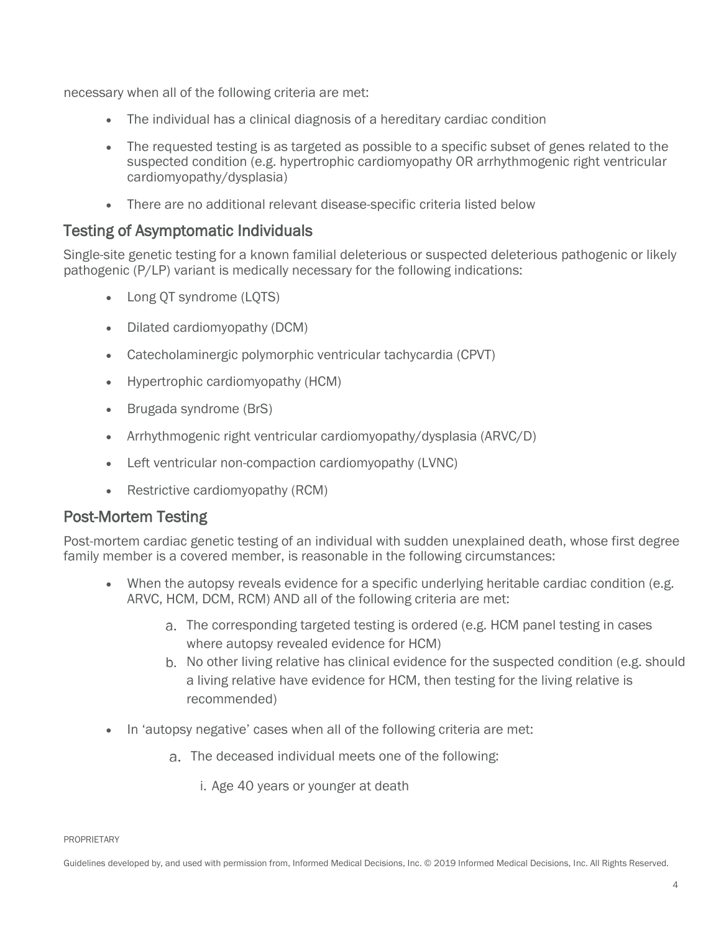necessary when all of the following criteria are met:

- The individual has a clinical diagnosis of a hereditary cardiac condition
- The requested testing is as targeted as possible to a specific subset of genes related to the suspected condition (e.g. hypertrophic cardiomyopathy OR arrhythmogenic right ventricular cardiomyopathy/dysplasia)
- There are no additional relevant disease-specific criteria listed below

#### <span id="page-3-0"></span>Testing of Asymptomatic Individuals

Single-site genetic testing for a known familial deleterious or suspected deleterious pathogenic or likely pathogenic (P/LP) variant is medically necessary for the following indications:

- Long QT syndrome (LQTS)
- Dilated cardiomyopathy (DCM)
- Catecholaminergic polymorphic ventricular tachycardia (CPVT)
- Hypertrophic cardiomyopathy (HCM)
- Brugada syndrome (BrS)
- Arrhythmogenic right ventricular cardiomyopathy/dysplasia (ARVC/D)
- Left ventricular non-compaction cardiomyopathy (LVNC)
- Restrictive cardiomyopathy (RCM)

#### <span id="page-3-1"></span>Post-Mortem Testing

Post-mortem cardiac genetic testing of an individual with sudden unexplained death, whose first degree family member is a covered member, is reasonable in the following circumstances:

- When the autopsy reveals evidence for a specific underlying heritable cardiac condition (e.g. ARVC, HCM, DCM, RCM) AND all of the following criteria are met:
	- The corresponding targeted testing is ordered (e.g. HCM panel testing in cases where autopsy revealed evidence for HCM)
	- b. No other living relative has clinical evidence for the suspected condition (e.g. should a living relative have evidence for HCM, then testing for the living relative is recommended)
- In 'autopsy negative' cases when all of the following criteria are met:
	- The deceased individual meets one of the following:
		- i. Age 40 years or younger at death

PROPRIETARY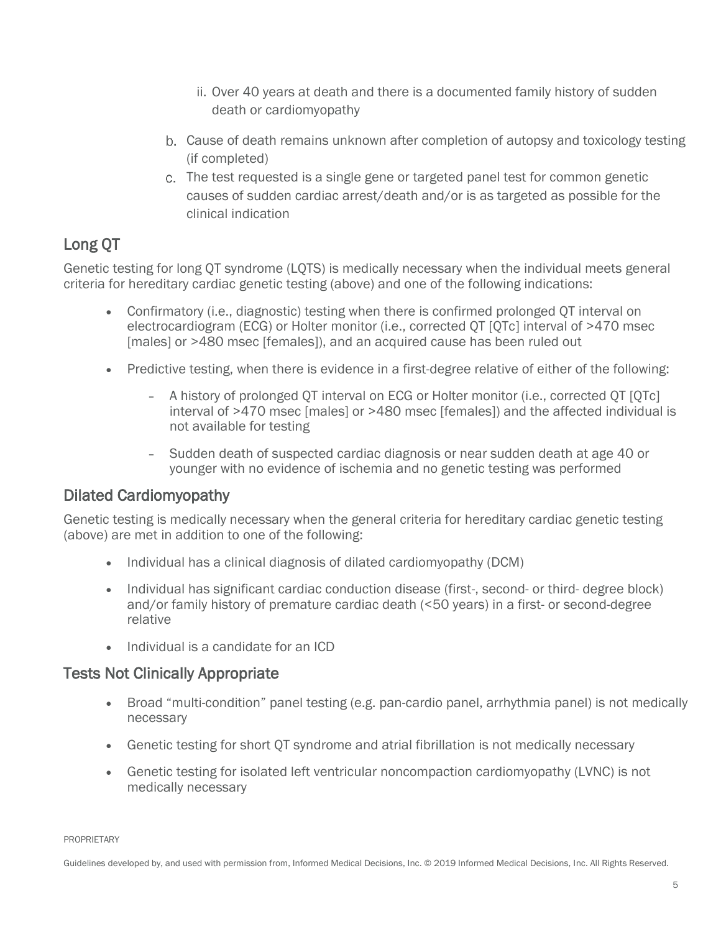- ii. Over 40 years at death and there is a documented family history of sudden death or cardiomyopathy
- Cause of death remains unknown after completion of autopsy and toxicology testing (if completed)
- The test requested is a single gene or targeted panel test for common genetic causes of sudden cardiac arrest/death and/or is as targeted as possible for the clinical indication

### <span id="page-4-0"></span>Long QT

Genetic testing for long QT syndrome (LQTS) is medically necessary when the individual meets general criteria for hereditary cardiac genetic testing (above) and one of the following indications:

- Confirmatory (i.e., diagnostic) testing when there is confirmed prolonged QT interval on electrocardiogram (ECG) or Holter monitor (i.e., corrected QT [QTc] interval of >470 msec [males] or >480 msec [females]), and an acquired cause has been ruled out
- Predictive testing, when there is evidence in a first-degree relative of either of the following:
	- A history of prolonged QT interval on ECG or Holter monitor (i.e., corrected QT [QTc] interval of >470 msec [males] or >480 msec [females]) and the affected individual is not available for testing
	- Sudden death of suspected cardiac diagnosis or near sudden death at age 40 or younger with no evidence of ischemia and no genetic testing was performed

#### <span id="page-4-1"></span>Dilated Cardiomyopathy

Genetic testing is medically necessary when the general criteria for hereditary cardiac genetic testing (above) are met in addition to one of the following:

- Individual has a clinical diagnosis of dilated cardiomyopathy (DCM)
- Individual has significant cardiac conduction disease (first-, second- or third- degree block) and/or family history of premature cardiac death (<50 years) in a first- or second-degree relative
- Individual is a candidate for an ICD

#### <span id="page-4-2"></span>Tests Not Clinically Appropriate

- Broad "multi-condition" panel testing (e.g. pan-cardio panel, arrhythmia panel) is not medically necessary
- Genetic testing for short QT syndrome and atrial fibrillation is not medically necessary
- Genetic testing for isolated left ventricular noncompaction cardiomyopathy (LVNC) is not medically necessary

PROPRIETARY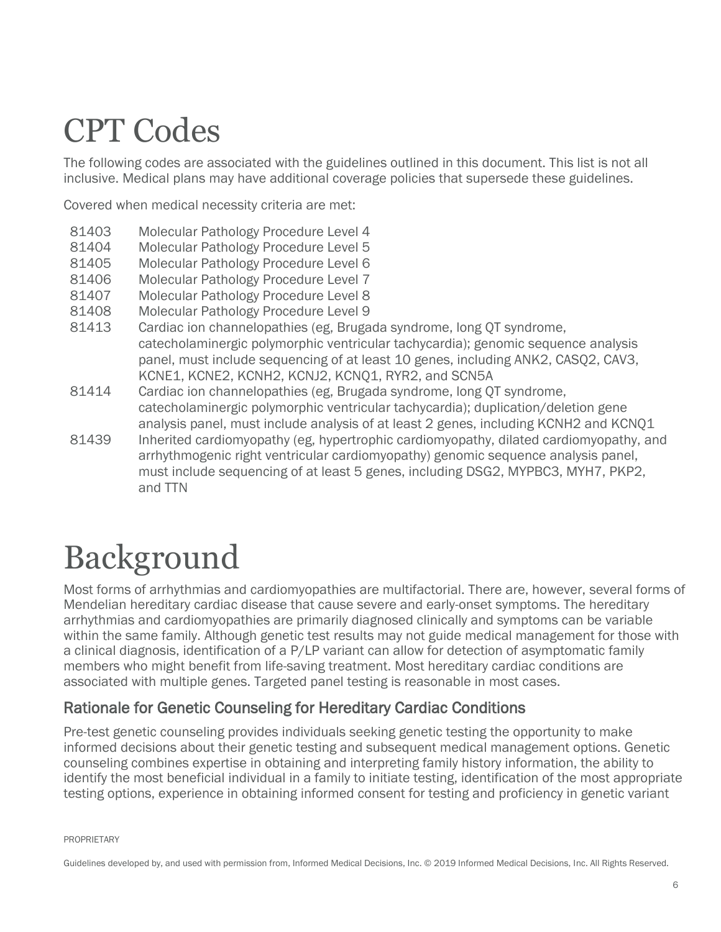### <span id="page-5-0"></span>CPT Codes

The following codes are associated with the guidelines outlined in this document. This list is not all inclusive. Medical plans may have additional coverage policies that supersede these guidelines.

Covered when medical necessity criteria are met:

- 81403 Molecular Pathology Procedure Level 4
- 81404 Molecular Pathology Procedure Level 5
- 81405 Molecular Pathology Procedure Level 6
- 81406 Molecular Pathology Procedure Level 7
- 81407 Molecular Pathology Procedure Level 8
- 81408 Molecular Pathology Procedure Level 9
- 81413 Cardiac ion channelopathies (eg, Brugada syndrome, long QT syndrome, catecholaminergic polymorphic ventricular tachycardia); genomic sequence analysis panel, must include sequencing of at least 10 genes, including ANK2, CASQ2, CAV3, KCNE1, KCNE2, KCNH2, KCNJ2, KCNQ1, RYR2, and SCN5A
- 81414 Cardiac ion channelopathies (eg, Brugada syndrome, long QT syndrome, catecholaminergic polymorphic ventricular tachycardia); duplication/deletion gene analysis panel, must include analysis of at least 2 genes, including KCNH2 and KCNQ1
- 81439 Inherited cardiomyopathy (eg, hypertrophic cardiomyopathy, dilated cardiomyopathy, and arrhythmogenic right ventricular cardiomyopathy) genomic sequence analysis panel, must include sequencing of at least 5 genes, including DSG2, MYPBC3, MYH7, PKP2, and TTN

### <span id="page-5-1"></span>Background

Most forms of arrhythmias and cardiomyopathies are multifactorial. There are, however, several forms of Mendelian hereditary cardiac disease that cause severe and early-onset symptoms. The hereditary arrhythmias and cardiomyopathies are primarily diagnosed clinically and symptoms can be variable within the same family. Although genetic test results may not guide medical management for those with a clinical diagnosis, identification of a P/LP variant can allow for detection of asymptomatic family members who might benefit from life-saving treatment. Most hereditary cardiac conditions are associated with multiple genes. Targeted panel testing is reasonable in most cases.

#### <span id="page-5-2"></span>Rationale for Genetic Counseling for Hereditary Cardiac Conditions

Pre-test genetic counseling provides individuals seeking genetic testing the opportunity to make informed decisions about their genetic testing and subsequent medical management options. Genetic counseling combines expertise in obtaining and interpreting family history information, the ability to identify the most beneficial individual in a family to initiate testing, identification of the most appropriate testing options, experience in obtaining informed consent for testing and proficiency in genetic variant

PROPRIETARY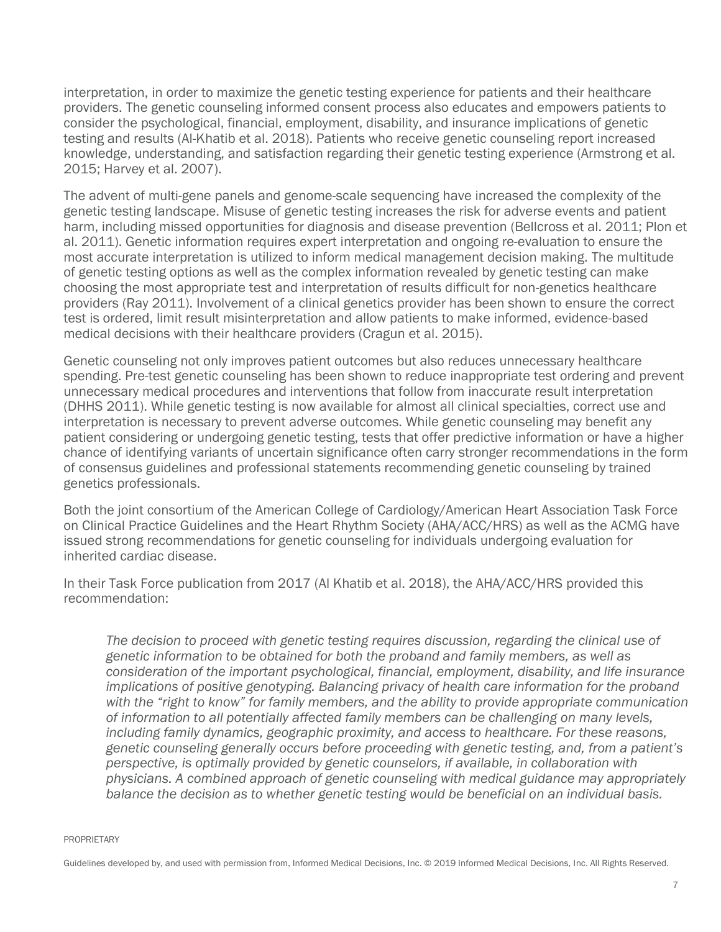interpretation, in order to maximize the genetic testing experience for patients and their healthcare providers. The genetic counseling informed consent process also educates and empowers patients to consider the psychological, financial, employment, disability, and insurance implications of genetic testing and results (Al-Khatib et al. 2018). Patients who receive genetic counseling report increased knowledge, understanding, and satisfaction regarding their genetic testing experience (Armstrong et al. 2015; Harvey et al. 2007).

The advent of multi-gene panels and genome-scale sequencing have increased the complexity of the genetic testing landscape. Misuse of genetic testing increases the risk for adverse events and patient harm, including missed opportunities for diagnosis and disease prevention (Bellcross et al. 2011; Plon et al. 2011). Genetic information requires expert interpretation and ongoing re-evaluation to ensure the most accurate interpretation is utilized to inform medical management decision making. The multitude of genetic testing options as well as the complex information revealed by genetic testing can make choosing the most appropriate test and interpretation of results difficult for non-genetics healthcare providers (Ray 2011). Involvement of a clinical genetics provider has been shown to ensure the correct test is ordered, limit result misinterpretation and allow patients to make informed, evidence-based medical decisions with their healthcare providers (Cragun et al. 2015).

Genetic counseling not only improves patient outcomes but also reduces unnecessary healthcare spending. Pre-test genetic counseling has been shown to reduce inappropriate test ordering and prevent unnecessary medical procedures and interventions that follow from inaccurate result interpretation (DHHS 2011). While genetic testing is now available for almost all clinical specialties, correct use and interpretation is necessary to prevent adverse outcomes. While genetic counseling may benefit any patient considering or undergoing genetic testing, tests that offer predictive information or have a higher chance of identifying variants of uncertain significance often carry stronger recommendations in the form of consensus guidelines and professional statements recommending genetic counseling by trained genetics professionals.

Both the joint consortium of the American College of Cardiology/American Heart Association Task Force on Clinical Practice Guidelines and the Heart Rhythm Society (AHA/ACC/HRS) as well as the ACMG have issued strong recommendations for genetic counseling for individuals undergoing evaluation for inherited cardiac disease.

In their Task Force publication from 2017 (Al Khatib et al. 2018), the AHA/ACC/HRS provided this recommendation:

*The decision to proceed with genetic testing requires discussion, regarding the clinical use of genetic information to be obtained for both the proband and family members, as well as consideration of the important psychological, financial, employment, disability, and life insurance implications of positive genotyping. Balancing privacy of health care information for the proband*  with the "right to know" for family members, and the ability to provide appropriate communication *of information to all potentially affected family members can be challenging on many levels, including family dynamics, geographic proximity, and access to healthcare. For these reasons, genetic counseling generally occurs before proceeding with genetic testing, and, from a patient's perspective, is optimally provided by genetic counselors, if available, in collaboration with physicians. A combined approach of genetic counseling with medical guidance may appropriately balance the decision as to whether genetic testing would be beneficial on an individual basis.* 

PROPRIETARY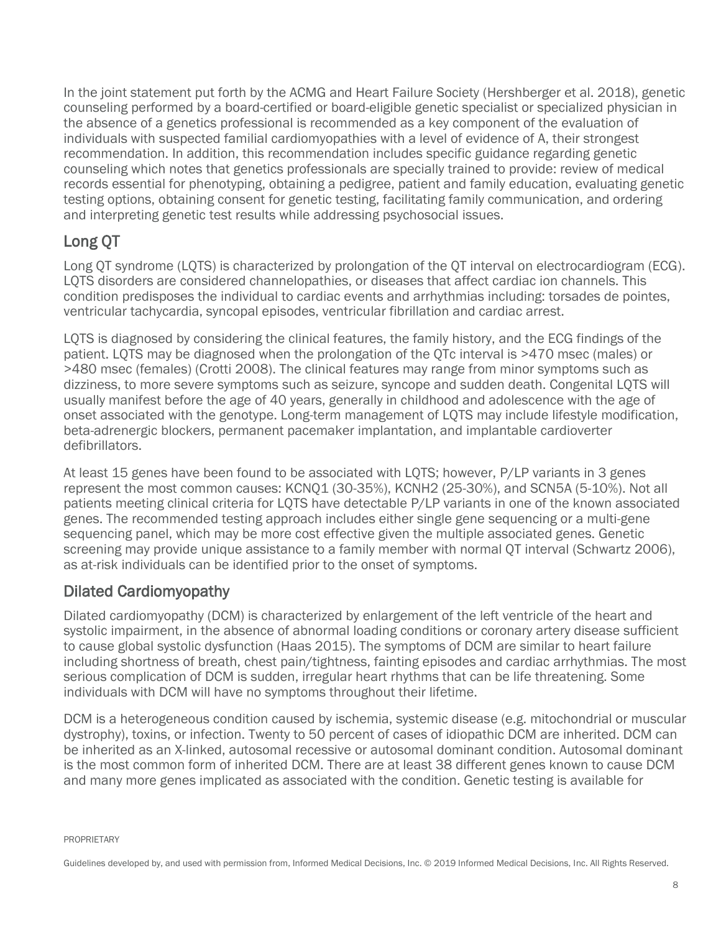In the joint statement put forth by the ACMG and Heart Failure Society (Hershberger et al. 2018), genetic counseling performed by a board-certified or board-eligible genetic specialist or specialized physician in the absence of a genetics professional is recommended as a key component of the evaluation of individuals with suspected familial cardiomyopathies with a level of evidence of A, their strongest recommendation. In addition, this recommendation includes specific guidance regarding genetic counseling which notes that genetics professionals are specially trained to provide: review of medical records essential for phenotyping, obtaining a pedigree, patient and family education, evaluating genetic testing options, obtaining consent for genetic testing, facilitating family communication, and ordering and interpreting genetic test results while addressing psychosocial issues.

### <span id="page-7-0"></span>Long QT

Long QT syndrome (LQTS) is characterized by prolongation of the QT interval on electrocardiogram (ECG). LQTS disorders are considered channelopathies, or diseases that affect cardiac ion channels. This condition predisposes the individual to cardiac events and arrhythmias including: torsades de pointes, ventricular tachycardia, syncopal episodes, ventricular fibrillation and cardiac arrest.

LQTS is diagnosed by considering the clinical features, the family history, and the ECG findings of the patient. LQTS may be diagnosed when the prolongation of the QTc interval is >470 msec (males) or >480 msec (females) (Crotti 2008). The clinical features may range from minor symptoms such as dizziness, to more severe symptoms such as seizure, syncope and sudden death. Congenital LQTS will usually manifest before the age of 40 years, generally in childhood and adolescence with the age of onset associated with the genotype. Long-term management of LQTS may include lifestyle modification, beta-adrenergic blockers, permanent pacemaker implantation, and implantable cardioverter defibrillators.

At least 15 genes have been found to be associated with LQTS; however, P/LP variants in 3 genes represent the most common causes: KCNQ1 (30-35%), KCNH2 (25-30%), and SCN5A (5-10%). Not all patients meeting clinical criteria for LQTS have detectable P/LP variants in one of the known associated genes. The recommended testing approach includes either single gene sequencing or a multi-gene sequencing panel, which may be more cost effective given the multiple associated genes. Genetic screening may provide unique assistance to a family member with normal QT interval (Schwartz 2006), as at-risk individuals can be identified prior to the onset of symptoms.

#### <span id="page-7-1"></span>Dilated Cardiomyopathy

Dilated cardiomyopathy (DCM) is characterized by enlargement of the left ventricle of the heart and systolic impairment, in the absence of abnormal loading conditions or coronary artery disease sufficient to cause global systolic dysfunction (Haas 2015). The symptoms of DCM are similar to heart failure including shortness of breath, chest pain/tightness, fainting episodes and cardiac arrhythmias. The most serious complication of DCM is sudden, irregular heart rhythms that can be life threatening. Some individuals with DCM will have no symptoms throughout their lifetime.

DCM is a heterogeneous condition caused by ischemia, systemic disease (e.g. mitochondrial or muscular dystrophy), toxins, or infection. Twenty to 50 percent of cases of idiopathic DCM are inherited. DCM can be inherited as an X-linked, autosomal recessive or autosomal dominant condition. Autosomal dominant is the most common form of inherited DCM. There are at least 38 different genes known to cause DCM and many more genes implicated as associated with the condition. Genetic testing is available for

PROPRIETARY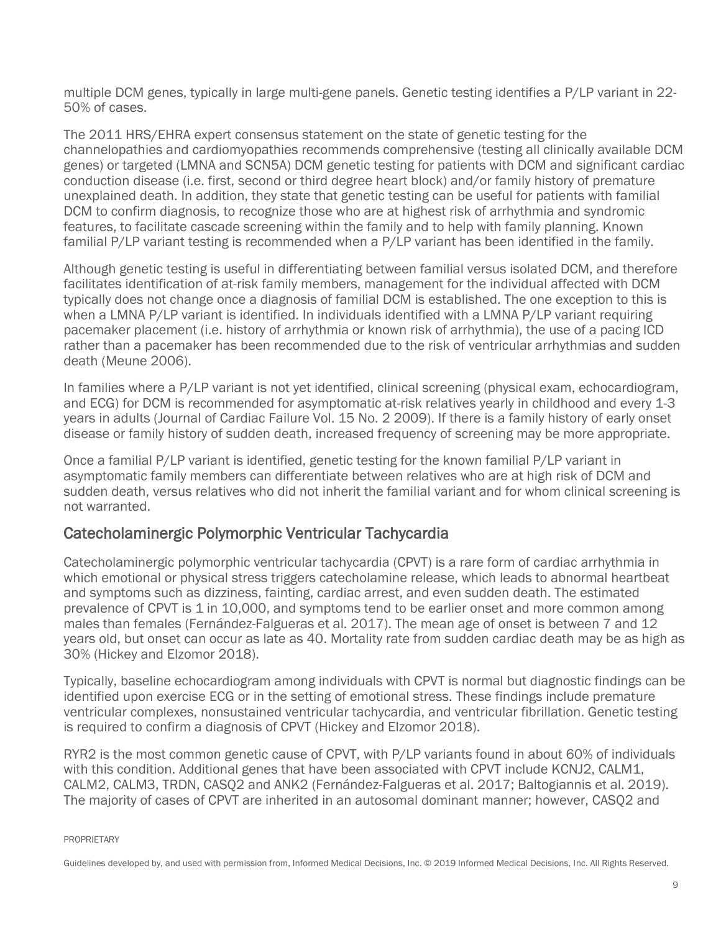multiple DCM genes, typically in large multi-gene panels. Genetic testing identifies a P/LP variant in 22- 50% of cases.

The 2011 HRS/EHRA expert consensus statement on the state of genetic testing for the channelopathies and cardiomyopathies recommends comprehensive (testing all clinically available DCM genes) or targeted (LMNA and SCN5A) DCM genetic testing for patients with DCM and significant cardiac conduction disease (i.e. first, second or third degree heart block) and/or family history of premature unexplained death. In addition, they state that genetic testing can be useful for patients with familial DCM to confirm diagnosis, to recognize those who are at highest risk of arrhythmia and syndromic features, to facilitate cascade screening within the family and to help with family planning. Known familial P/LP variant testing is recommended when a P/LP variant has been identified in the family.

Although genetic testing is useful in differentiating between familial versus isolated DCM, and therefore facilitates identification of at-risk family members, management for the individual affected with DCM typically does not change once a diagnosis of familial DCM is established. The one exception to this is when a LMNA P/LP variant is identified. In individuals identified with a LMNA P/LP variant requiring pacemaker placement (i.e. history of arrhythmia or known risk of arrhythmia), the use of a pacing ICD rather than a pacemaker has been recommended due to the risk of ventricular arrhythmias and sudden death (Meune 2006).

In families where a P/LP variant is not yet identified, clinical screening (physical exam, echocardiogram, and ECG) for DCM is recommended for asymptomatic at-risk relatives yearly in childhood and every 1-3 years in adults (Journal of Cardiac Failure Vol. 15 No. 2 2009). If there is a family history of early onset disease or family history of sudden death, increased frequency of screening may be more appropriate.

Once a familial P/LP variant is identified, genetic testing for the known familial P/LP variant in asymptomatic family members can differentiate between relatives who are at high risk of DCM and sudden death, versus relatives who did not inherit the familial variant and for whom clinical screening is not warranted.

#### <span id="page-8-0"></span>Catecholaminergic Polymorphic Ventricular Tachycardia

Catecholaminergic polymorphic ventricular tachycardia (CPVT) is a rare form of cardiac arrhythmia in which emotional or physical stress triggers catecholamine release, which leads to abnormal heartbeat and symptoms such as dizziness, fainting, cardiac arrest, and even sudden death. The estimated prevalence of CPVT is 1 in 10,000, and symptoms tend to be earlier onset and more common among males than females (Fernández-Falgueras et al. 2017). The mean age of onset is between 7 and 12 years old, but onset can occur as late as 40. Mortality rate from sudden cardiac death may be as high as 30% (Hickey and Elzomor 2018).

Typically, baseline echocardiogram among individuals with CPVT is normal but diagnostic findings can be identified upon exercise ECG or in the setting of emotional stress. These findings include premature ventricular complexes, nonsustained ventricular tachycardia, and ventricular fibrillation. Genetic testing is required to confirm a diagnosis of CPVT (Hickey and Elzomor 2018).

RYR2 is the most common genetic cause of CPVT, with P/LP variants found in about 60% of individuals with this condition. Additional genes that have been associated with CPVT include KCNJ2, CALM1, CALM2, CALM3, TRDN, CASQ2 and ANK2 (Fernández-Falgueras et al. 2017; Baltogiannis et al. 2019). The majority of cases of CPVT are inherited in an autosomal dominant manner; however, CASQ2 and

PROPRIETARY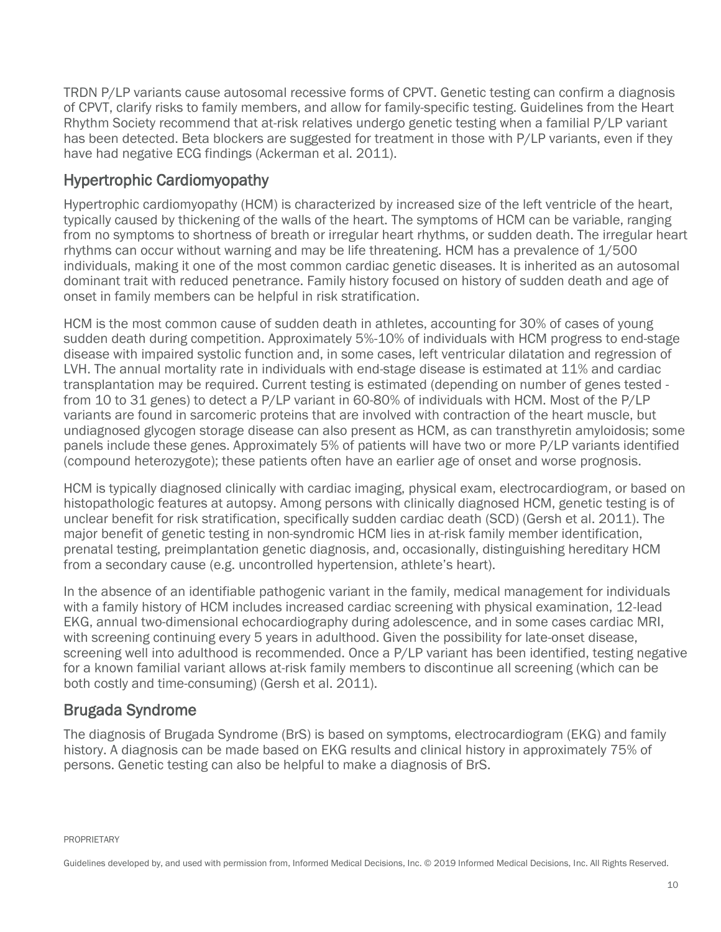TRDN P/LP variants cause autosomal recessive forms of CPVT. Genetic testing can confirm a diagnosis of CPVT, clarify risks to family members, and allow for family-specific testing. Guidelines from the Heart Rhythm Society recommend that at-risk relatives undergo genetic testing when a familial P/LP variant has been detected. Beta blockers are suggested for treatment in those with P/LP variants, even if they have had negative ECG findings (Ackerman et al. 2011).

#### <span id="page-9-0"></span>Hypertrophic Cardiomyopathy

Hypertrophic cardiomyopathy (HCM) is characterized by increased size of the left ventricle of the heart, typically caused by thickening of the walls of the heart. The symptoms of HCM can be variable, ranging from no symptoms to shortness of breath or irregular heart rhythms, or sudden death. The irregular heart rhythms can occur without warning and may be life threatening. HCM has a prevalence of 1/500 individuals, making it one of the most common cardiac genetic diseases. It is inherited as an autosomal dominant trait with reduced penetrance. Family history focused on history of sudden death and age of onset in family members can be helpful in risk stratification.

HCM is the most common cause of sudden death in athletes, accounting for 30% of cases of young sudden death during competition. Approximately 5%-10% of individuals with HCM progress to end-stage disease with impaired systolic function and, in some cases, left ventricular dilatation and regression of LVH. The annual mortality rate in individuals with end-stage disease is estimated at 11% and cardiac transplantation may be required. Current testing is estimated (depending on number of genes tested from 10 to 31 genes) to detect a P/LP variant in 60-80% of individuals with HCM. Most of the P/LP variants are found in sarcomeric proteins that are involved with contraction of the heart muscle, but undiagnosed glycogen storage disease can also present as HCM, as can transthyretin amyloidosis; some panels include these genes. Approximately 5% of patients will have two or more P/LP variants identified (compound heterozygote); these patients often have an earlier age of onset and worse prognosis.

HCM is typically diagnosed clinically with cardiac imaging, physical exam, electrocardiogram, or based on histopathologic features at autopsy. Among persons with clinically diagnosed HCM, genetic testing is of unclear benefit for risk stratification, specifically sudden cardiac death (SCD) (Gersh et al. 2011). The major benefit of genetic testing in non-syndromic HCM lies in at-risk family member identification, prenatal testing, preimplantation genetic diagnosis, and, occasionally, distinguishing hereditary HCM from a secondary cause (e.g. uncontrolled hypertension, athlete's heart).

In the absence of an identifiable pathogenic variant in the family, medical management for individuals with a family history of HCM includes increased cardiac screening with physical examination, 12-lead EKG, annual two-dimensional echocardiography during adolescence, and in some cases cardiac MRI, with screening continuing every 5 years in adulthood. Given the possibility for late-onset disease, screening well into adulthood is recommended. Once a P/LP variant has been identified, testing negative for a known familial variant allows at-risk family members to discontinue all screening (which can be both costly and time-consuming) (Gersh et al. 2011).

#### <span id="page-9-1"></span>Brugada Syndrome

The diagnosis of Brugada Syndrome (BrS) is based on symptoms, electrocardiogram (EKG) and family history. A diagnosis can be made based on EKG results and clinical history in approximately 75% of persons. Genetic testing can also be helpful to make a diagnosis of BrS.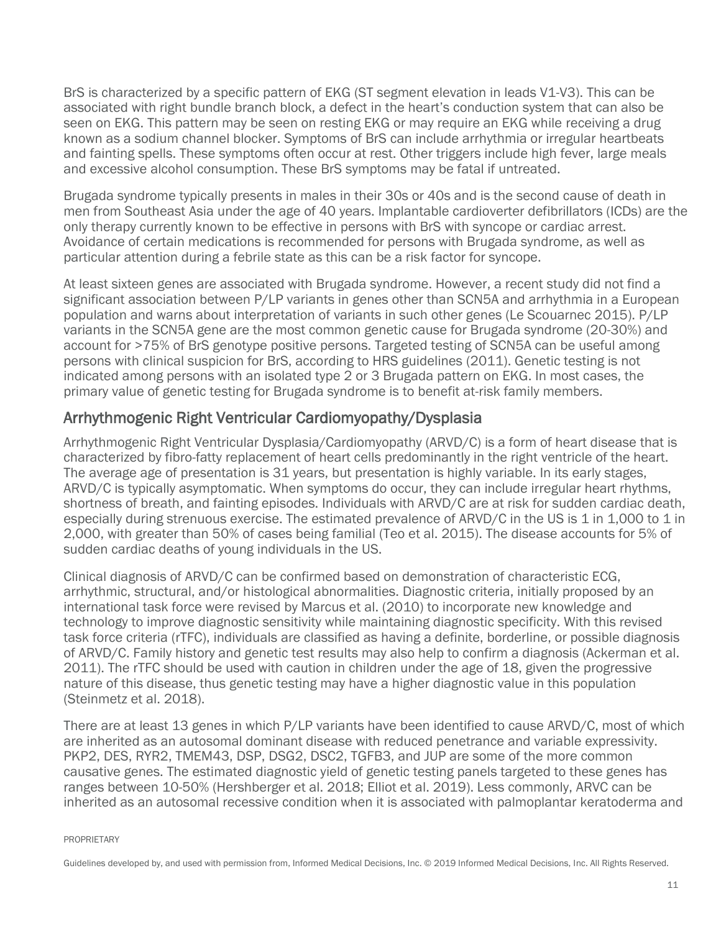BrS is characterized by a specific pattern of EKG (ST segment elevation in leads V1-V3). This can be associated with right bundle branch block, a defect in the heart's conduction system that can also be seen on EKG. This pattern may be seen on resting EKG or may require an EKG while receiving a drug known as a sodium channel blocker. Symptoms of BrS can include arrhythmia or irregular heartbeats and fainting spells. These symptoms often occur at rest. Other triggers include high fever, large meals and excessive alcohol consumption. These BrS symptoms may be fatal if untreated.

Brugada syndrome typically presents in males in their 30s or 40s and is the second cause of death in men from Southeast Asia under the age of 40 years. Implantable cardioverter defibrillators (ICDs) are the only therapy currently known to be effective in persons with BrS with syncope or cardiac arrest. Avoidance of certain medications is recommended for persons with Brugada syndrome, as well as particular attention during a febrile state as this can be a risk factor for syncope.

At least sixteen genes are associated with Brugada syndrome. However, a recent study did not find a significant association between P/LP variants in genes other than SCN5A and arrhythmia in a European population and warns about interpretation of variants in such other genes (Le Scouarnec 2015). P/LP variants in the SCN5A gene are the most common genetic cause for Brugada syndrome (20-30%) and account for >75% of BrS genotype positive persons. Targeted testing of SCN5A can be useful among persons with clinical suspicion for BrS, according to HRS guidelines (2011). Genetic testing is not indicated among persons with an isolated type 2 or 3 Brugada pattern on EKG. In most cases, the primary value of genetic testing for Brugada syndrome is to benefit at-risk family members.

#### <span id="page-10-0"></span>Arrhythmogenic Right Ventricular Cardiomyopathy/Dysplasia

Arrhythmogenic Right Ventricular Dysplasia/Cardiomyopathy (ARVD/C) is a form of heart disease that is characterized by fibro-fatty replacement of heart cells predominantly in the right ventricle of the heart. The average age of presentation is 31 years, but presentation is highly variable. In its early stages, ARVD/C is typically asymptomatic. When symptoms do occur, they can include irregular heart rhythms, shortness of breath, and fainting episodes. Individuals with ARVD/C are at risk for sudden cardiac death, especially during strenuous exercise. The estimated prevalence of ARVD/C in the US is 1 in 1,000 to 1 in 2,000, with greater than 50% of cases being familial (Teo et al. 2015). The disease accounts for 5% of sudden cardiac deaths of young individuals in the US.

Clinical diagnosis of ARVD/C can be confirmed based on demonstration of characteristic ECG, arrhythmic, structural, and/or histological abnormalities. Diagnostic criteria, initially proposed by an international task force were revised by Marcus et al. (2010) to incorporate new knowledge and technology to improve diagnostic sensitivity while maintaining diagnostic specificity. With this revised task force criteria (rTFC), individuals are classified as having a definite, borderline, or possible diagnosis of ARVD/C. Family history and genetic test results may also help to confirm a diagnosis (Ackerman et al. 2011). The rTFC should be used with caution in children under the age of 18, given the progressive nature of this disease, thus genetic testing may have a higher diagnostic value in this population (Steinmetz et al. 2018).

There are at least 13 genes in which P/LP variants have been identified to cause ARVD/C, most of which are inherited as an autosomal dominant disease with reduced penetrance and variable expressivity. PKP2, DES, RYR2, TMEM43, DSP, DSG2, DSC2, TGFB3, and JUP are some of the more common causative genes. The estimated diagnostic yield of genetic testing panels targeted to these genes has ranges between 10-50% (Hershberger et al. 2018; Elliot et al. 2019). Less commonly, ARVC can be inherited as an autosomal recessive condition when it is associated with palmoplantar keratoderma and

PROPRIETARY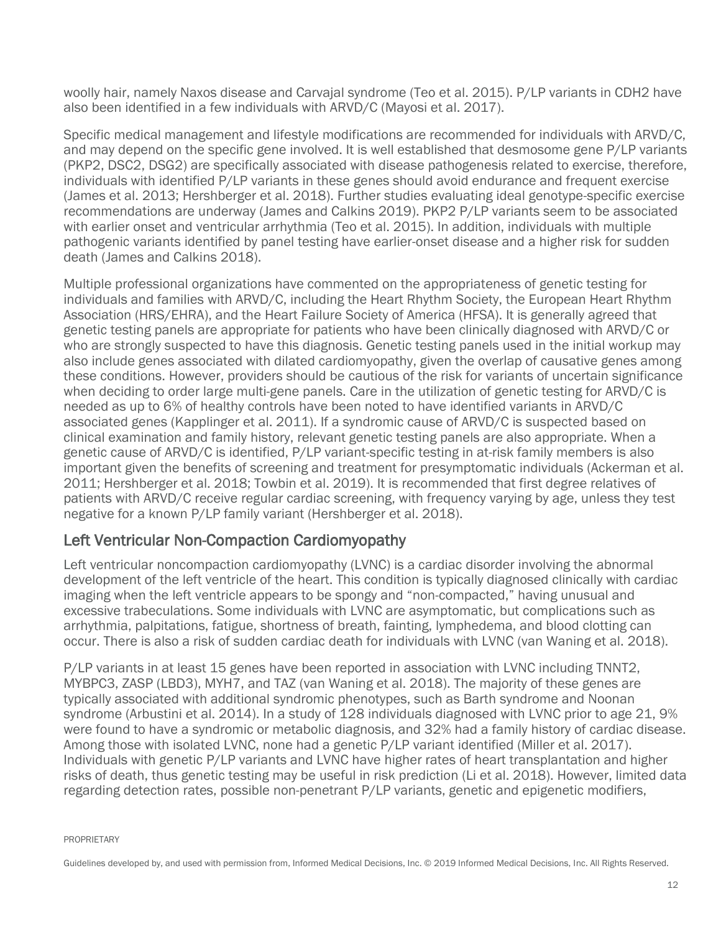woolly hair, namely Naxos disease and Carvajal syndrome (Teo et al. 2015). P/LP variants in CDH2 have also been identified in a few individuals with ARVD/C (Mayosi et al. 2017).

Specific medical management and lifestyle modifications are recommended for individuals with ARVD/C, and may depend on the specific gene involved. It is well established that desmosome gene P/LP variants (PKP2, DSC2, DSG2) are specifically associated with disease pathogenesis related to exercise, therefore, individuals with identified P/LP variants in these genes should avoid endurance and frequent exercise (James et al. 2013; Hershberger et al. 2018). Further studies evaluating ideal genotype-specific exercise recommendations are underway (James and Calkins 2019). PKP2 P/LP variants seem to be associated with earlier onset and ventricular arrhythmia (Teo et al. 2015). In addition, individuals with multiple pathogenic variants identified by panel testing have earlier-onset disease and a higher risk for sudden death (James and Calkins 2018).

Multiple professional organizations have commented on the appropriateness of genetic testing for individuals and families with ARVD/C, including the Heart Rhythm Society, the European Heart Rhythm Association (HRS/EHRA), and the Heart Failure Society of America (HFSA). It is generally agreed that genetic testing panels are appropriate for patients who have been clinically diagnosed with ARVD/C or who are strongly suspected to have this diagnosis. Genetic testing panels used in the initial workup may also include genes associated with dilated cardiomyopathy, given the overlap of causative genes among these conditions. However, providers should be cautious of the risk for variants of uncertain significance when deciding to order large multi-gene panels. Care in the utilization of genetic testing for ARVD/C is needed as up to 6% of healthy controls have been noted to have identified variants in ARVD/C associated genes (Kapplinger et al. 2011). If a syndromic cause of ARVD/C is suspected based on clinical examination and family history, relevant genetic testing panels are also appropriate. When a genetic cause of ARVD/C is identified, P/LP variant-specific testing in at-risk family members is also important given the benefits of screening and treatment for presymptomatic individuals (Ackerman et al. 2011; Hershberger et al. 2018; Towbin et al. 2019). It is recommended that first degree relatives of patients with ARVD/C receive regular cardiac screening, with frequency varying by age, unless they test negative for a known P/LP family variant (Hershberger et al. 2018).

#### <span id="page-11-0"></span>Left Ventricular Non-Compaction Cardiomyopathy

Left ventricular noncompaction cardiomyopathy (LVNC) is a cardiac disorder involving the abnormal development of the left ventricle of the heart. This condition is typically diagnosed clinically with cardiac imaging when the left ventricle appears to be spongy and "non-compacted," having unusual and excessive trabeculations. Some individuals with LVNC are asymptomatic, but complications such as arrhythmia, palpitations, fatigue, shortness of breath, fainting, lymphedema, and blood clotting can occur. There is also a risk of sudden cardiac death for individuals with LVNC (van Waning et al. 2018).

P/LP variants in at least 15 genes have been reported in association with LVNC including TNNT2, MYBPC3, ZASP (LBD3), MYH7, and TAZ (van Waning et al. 2018). The majority of these genes are typically associated with additional syndromic phenotypes, such as Barth syndrome and Noonan syndrome (Arbustini et al. 2014). In a study of 128 individuals diagnosed with LVNC prior to age 21, 9% were found to have a syndromic or metabolic diagnosis, and 32% had a family history of cardiac disease. Among those with isolated LVNC, none had a genetic P/LP variant identified (Miller et al. 2017). Individuals with genetic P/LP variants and LVNC have higher rates of heart transplantation and higher risks of death, thus genetic testing may be useful in risk prediction (Li et al. 2018). However, limited data regarding detection rates, possible non-penetrant P/LP variants, genetic and epigenetic modifiers,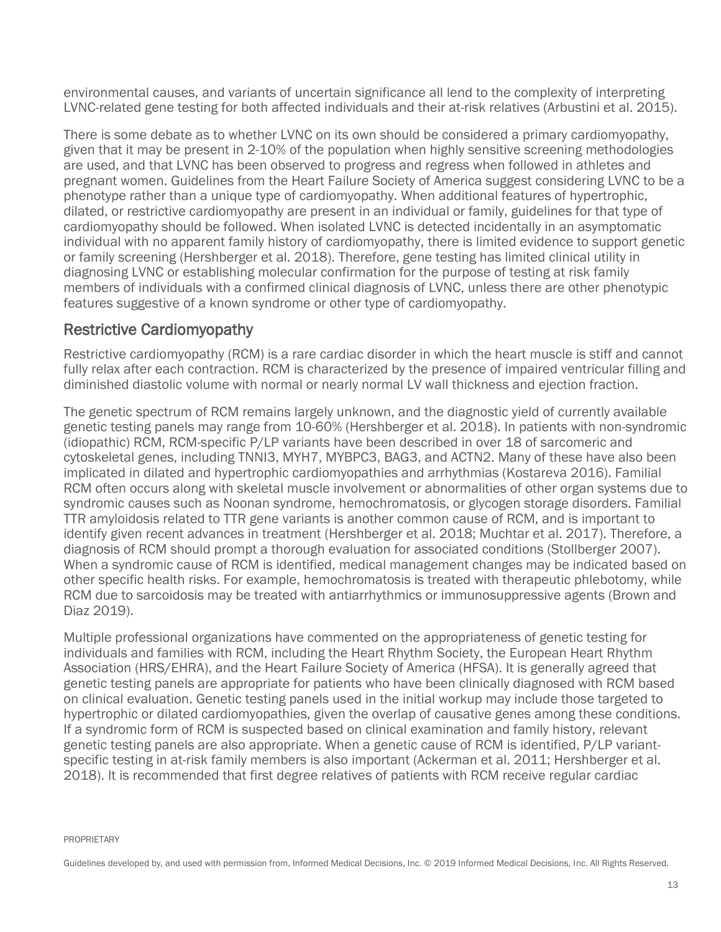environmental causes, and variants of uncertain significance all lend to the complexity of interpreting LVNC-related gene testing for both affected individuals and their at-risk relatives (Arbustini et al. 2015).

There is some debate as to whether LVNC on its own should be considered a primary cardiomyopathy, given that it may be present in 2-10% of the population when highly sensitive screening methodologies are used, and that LVNC has been observed to progress and regress when followed in athletes and pregnant women. Guidelines from the Heart Failure Society of America suggest considering LVNC to be a phenotype rather than a unique type of cardiomyopathy. When additional features of hypertrophic, dilated, or restrictive cardiomyopathy are present in an individual or family, guidelines for that type of cardiomyopathy should be followed. When isolated LVNC is detected incidentally in an asymptomatic individual with no apparent family history of cardiomyopathy, there is limited evidence to support genetic or family screening (Hershberger et al. 2018). Therefore, gene testing has limited clinical utility in diagnosing LVNC or establishing molecular confirmation for the purpose of testing at risk family members of individuals with a confirmed clinical diagnosis of LVNC, unless there are other phenotypic features suggestive of a known syndrome or other type of cardiomyopathy.

#### <span id="page-12-0"></span>Restrictive Cardiomyopathy

Restrictive cardiomyopathy (RCM) is a rare cardiac disorder in which the heart muscle is stiff and cannot fully relax after each contraction. RCM is characterized by the presence of impaired ventricular filling and diminished diastolic volume with normal or nearly normal LV wall thickness and ejection fraction.

The genetic spectrum of RCM remains largely unknown, and the diagnostic yield of currently available genetic testing panels may range from 10-60% (Hershberger et al. 2018). In patients with non-syndromic (idiopathic) RCM, RCM-specific P/LP variants have been described in over 18 of sarcomeric and cytoskeletal genes, including TNNI3, MYH7, MYBPC3, BAG3, and ACTN2. Many of these have also been implicated in dilated and hypertrophic cardiomyopathies and arrhythmias (Kostareva 2016). Familial RCM often occurs along with skeletal muscle involvement or abnormalities of other organ systems due to syndromic causes such as Noonan syndrome, hemochromatosis, or glycogen storage disorders. Familial TTR amyloidosis related to TTR gene variants is another common cause of RCM, and is important to identify given recent advances in treatment (Hershberger et al. 2018; Muchtar et al. 2017). Therefore, a diagnosis of RCM should prompt a thorough evaluation for associated conditions (Stollberger 2007). When a syndromic cause of RCM is identified, medical management changes may be indicated based on other specific health risks. For example, hemochromatosis is treated with therapeutic phlebotomy, while RCM due to sarcoidosis may be treated with antiarrhythmics or immunosuppressive agents (Brown and Diaz 2019).

Multiple professional organizations have commented on the appropriateness of genetic testing for individuals and families with RCM, including the Heart Rhythm Society, the European Heart Rhythm Association (HRS/EHRA), and the Heart Failure Society of America (HFSA). It is generally agreed that genetic testing panels are appropriate for patients who have been clinically diagnosed with RCM based on clinical evaluation. Genetic testing panels used in the initial workup may include those targeted to hypertrophic or dilated cardiomyopathies, given the overlap of causative genes among these conditions. If a syndromic form of RCM is suspected based on clinical examination and family history, relevant genetic testing panels are also appropriate. When a genetic cause of RCM is identified, P/LP variantspecific testing in at-risk family members is also important (Ackerman et al. 2011; Hershberger et al. 2018). It is recommended that first degree relatives of patients with RCM receive regular cardiac

PROPRIETARY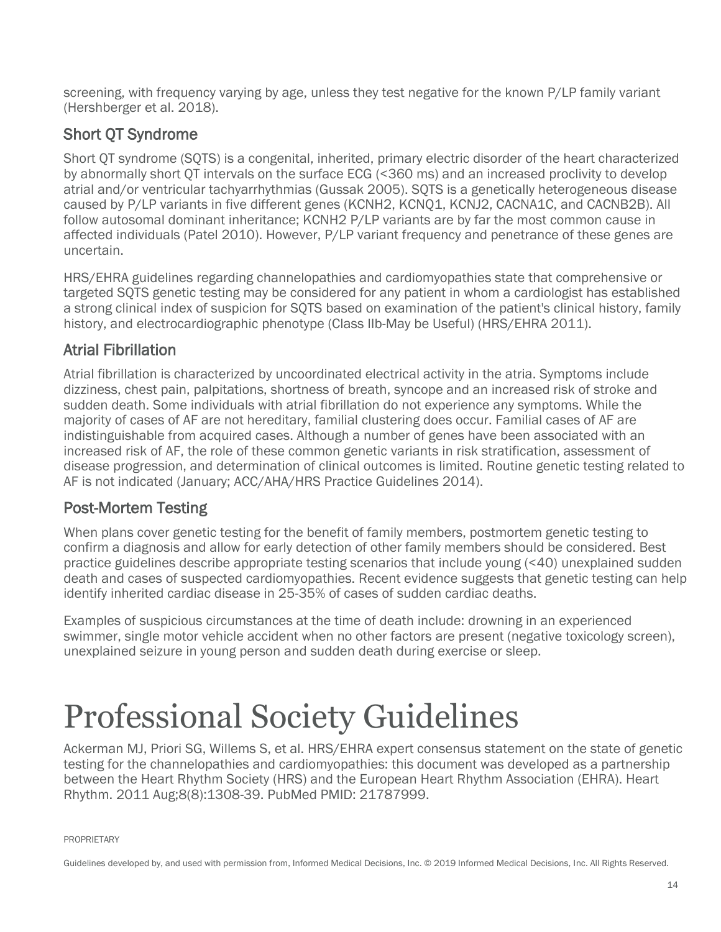screening, with frequency varying by age, unless they test negative for the known P/LP family variant (Hershberger et al. 2018).

### <span id="page-13-0"></span>Short QT Syndrome

Short QT syndrome (SQTS) is a congenital, inherited, primary electric disorder of the heart characterized by abnormally short QT intervals on the surface ECG (<360 ms) and an increased proclivity to develop atrial and/or ventricular tachyarrhythmias (Gussak 2005). SQTS is a genetically heterogeneous disease caused by P/LP variants in five different genes (KCNH2, KCNQ1, KCNJ2, CACNA1C, and CACNB2B). All follow autosomal dominant inheritance; KCNH2 P/LP variants are by far the most common cause in affected individuals (Patel 2010). However, P/LP variant frequency and penetrance of these genes are uncertain.

HRS/EHRA guidelines regarding channelopathies and cardiomyopathies state that comprehensive or targeted SQTS genetic testing may be considered for any patient in whom a cardiologist has established a strong clinical index of suspicion for SQTS based on examination of the patient's clinical history, family history, and electrocardiographic phenotype (Class IIb-May be Useful) (HRS/EHRA 2011).

#### <span id="page-13-1"></span>Atrial Fibrillation

Atrial fibrillation is characterized by uncoordinated electrical activity in the atria. Symptoms include dizziness, chest pain, palpitations, shortness of breath, syncope and an increased risk of stroke and sudden death. Some individuals with atrial fibrillation do not experience any symptoms. While the majority of cases of AF are not hereditary, familial clustering does occur. Familial cases of AF are indistinguishable from acquired cases. Although a number of genes have been associated with an increased risk of AF, the role of these common genetic variants in risk stratification, assessment of disease progression, and determination of clinical outcomes is limited. Routine genetic testing related to AF is not indicated (January; ACC/AHA/HRS Practice Guidelines 2014).

#### <span id="page-13-2"></span>Post-Mortem Testing

When plans cover genetic testing for the benefit of family members, postmortem genetic testing to confirm a diagnosis and allow for early detection of other family members should be considered. Best practice guidelines describe appropriate testing scenarios that include young (<40) unexplained sudden death and cases of suspected cardiomyopathies. Recent evidence suggests that genetic testing can help identify inherited cardiac disease in 25-35% of cases of sudden cardiac deaths.

Examples of suspicious circumstances at the time of death include: drowning in an experienced swimmer, single motor vehicle accident when no other factors are present (negative toxicology screen), unexplained seizure in young person and sudden death during exercise or sleep.

# <span id="page-13-3"></span>Professional Society Guidelines

Ackerman MJ, Priori SG, Willems S, et al. HRS/EHRA expert consensus statement on the state of genetic testing for the channelopathies and cardiomyopathies: this document was developed as a partnership between the Heart Rhythm Society (HRS) and the European Heart Rhythm Association (EHRA). Heart Rhythm. 2011 Aug;8(8):1308-39. PubMed PMID: 21787999.

PROPRIETARY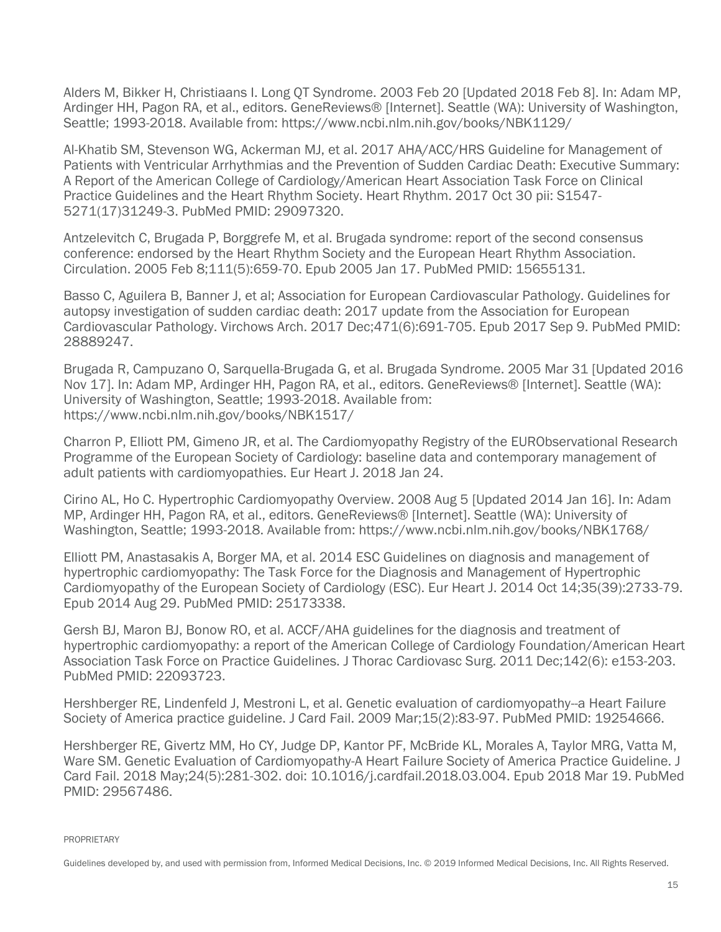Alders M, Bikker H, Christiaans I. Long QT Syndrome. 2003 Feb 20 [Updated 2018 Feb 8]. In: Adam MP, Ardinger HH, Pagon RA, et al., editors. GeneReviews® [Internet]. Seattle (WA): University of Washington, Seattle; 1993-2018. Available from: https://www.ncbi.nlm.nih.gov/books/NBK1129/

Al-Khatib SM, Stevenson WG, Ackerman MJ, et al. 2017 AHA/ACC/HRS Guideline for Management of Patients with Ventricular Arrhythmias and the Prevention of Sudden Cardiac Death: Executive Summary: A Report of the American College of Cardiology/American Heart Association Task Force on Clinical Practice Guidelines and the Heart Rhythm Society. Heart Rhythm. 2017 Oct 30 pii: S1547- 5271(17)31249-3. PubMed PMID: 29097320.

Antzelevitch C, Brugada P, Borggrefe M, et al. Brugada syndrome: report of the second consensus conference: endorsed by the Heart Rhythm Society and the European Heart Rhythm Association. Circulation. 2005 Feb 8;111(5):659-70. Epub 2005 Jan 17. PubMed PMID: 15655131.

Basso C, Aguilera B, Banner J, et al; Association for European Cardiovascular Pathology. Guidelines for autopsy investigation of sudden cardiac death: 2017 update from the Association for European Cardiovascular Pathology. Virchows Arch. 2017 Dec;471(6):691-705. Epub 2017 Sep 9. PubMed PMID: 28889247.

Brugada R, Campuzano O, Sarquella-Brugada G, et al. Brugada Syndrome. 2005 Mar 31 [Updated 2016 Nov 17]. In: Adam MP, Ardinger HH, Pagon RA, et al., editors. GeneReviews® [Internet]. Seattle (WA): University of Washington, Seattle; 1993-2018. Available from: https://www.ncbi.nlm.nih.gov/books/NBK1517/

Charron P, Elliott PM, Gimeno JR, et al. The Cardiomyopathy Registry of the EURObservational Research Programme of the European Society of Cardiology: baseline data and contemporary management of adult patients with cardiomyopathies. Eur Heart J. 2018 Jan 24.

Cirino AL, Ho C. Hypertrophic Cardiomyopathy Overview. 2008 Aug 5 [Updated 2014 Jan 16]. In: Adam MP, Ardinger HH, Pagon RA, et al., editors. GeneReviews® [Internet]. Seattle (WA): University of Washington, Seattle; 1993-2018. Available from: https://www.ncbi.nlm.nih.gov/books/NBK1768/

Elliott PM, Anastasakis A, Borger MA, et al. 2014 ESC Guidelines on diagnosis and management of hypertrophic cardiomyopathy: The Task Force for the Diagnosis and Management of Hypertrophic Cardiomyopathy of the European Society of Cardiology (ESC). Eur Heart J. 2014 Oct 14;35(39):2733-79. Epub 2014 Aug 29. PubMed PMID: 25173338.

Gersh BJ, Maron BJ, Bonow RO, et al. ACCF/AHA guidelines for the diagnosis and treatment of hypertrophic cardiomyopathy: a report of the American College of Cardiology Foundation/American Heart Association Task Force on Practice Guidelines. J Thorac Cardiovasc Surg. 2011 Dec;142(6): e153-203. PubMed PMID: 22093723.

Hershberger RE, Lindenfeld J, Mestroni L, et al. Genetic evaluation of cardiomyopathy--a Heart Failure Society of America practice guideline. J Card Fail. 2009 Mar;15(2):83-97. PubMed PMID: 19254666.

Hershberger RE, Givertz MM, Ho CY, Judge DP, Kantor PF, McBride KL, Morales A, Taylor MRG, Vatta M, Ware SM. Genetic Evaluation of Cardiomyopathy-A Heart Failure Society of America Practice Guideline. J Card Fail. 2018 May;24(5):281-302. doi: 10.1016/j.cardfail.2018.03.004. Epub 2018 Mar 19. PubMed PMID: 29567486.

PROPRIETARY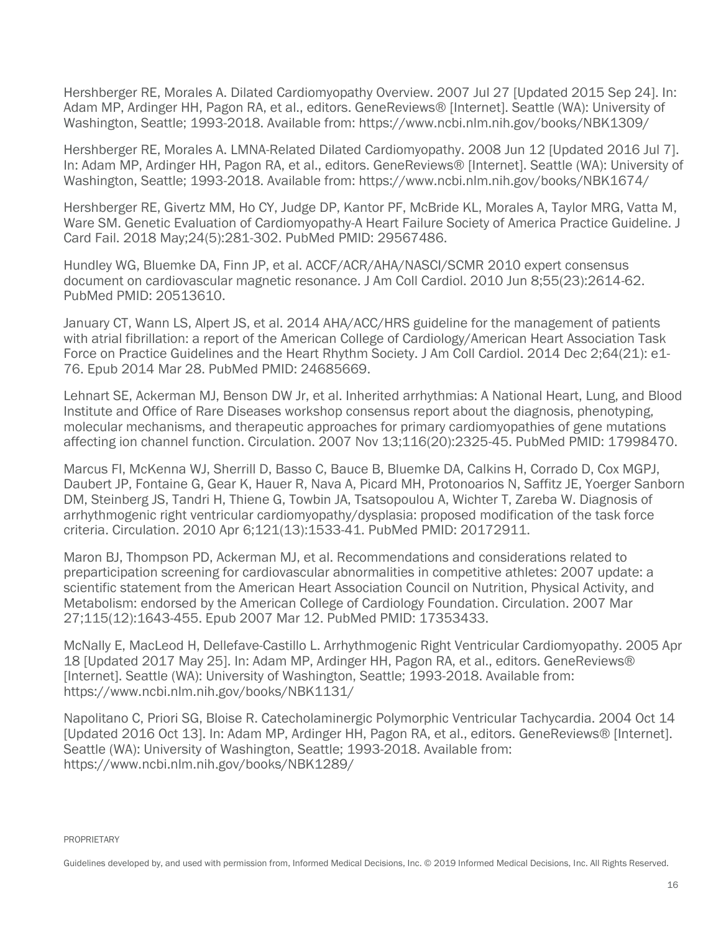Hershberger RE, Morales A. Dilated Cardiomyopathy Overview. 2007 Jul 27 [Updated 2015 Sep 24]. In: Adam MP, Ardinger HH, Pagon RA, et al., editors. GeneReviews® [Internet]. Seattle (WA): University of Washington, Seattle; 1993-2018. Available from: https://www.ncbi.nlm.nih.gov/books/NBK1309/

Hershberger RE, Morales A. LMNA-Related Dilated Cardiomyopathy. 2008 Jun 12 [Updated 2016 Jul 7]. In: Adam MP, Ardinger HH, Pagon RA, et al., editors. GeneReviews® [Internet]. Seattle (WA): University of Washington, Seattle; 1993-2018. Available from: https://www.ncbi.nlm.nih.gov/books/NBK1674/

Hershberger RE, Givertz MM, Ho CY, Judge DP, Kantor PF, McBride KL, Morales A, Taylor MRG, Vatta M, Ware SM. Genetic Evaluation of Cardiomyopathy-A Heart Failure Society of America Practice Guideline. J Card Fail. 2018 May;24(5):281-302. PubMed PMID: 29567486.

Hundley WG, Bluemke DA, Finn JP, et al. ACCF/ACR/AHA/NASCI/SCMR 2010 expert consensus document on cardiovascular magnetic resonance. J Am Coll Cardiol. 2010 Jun 8;55(23):2614-62. PubMed PMID: 20513610.

January CT, Wann LS, Alpert JS, et al. 2014 AHA/ACC/HRS guideline for the management of patients with atrial fibrillation: a report of the American College of Cardiology/American Heart Association Task Force on Practice Guidelines and the Heart Rhythm Society. J Am Coll Cardiol. 2014 Dec 2;64(21): e1- 76. Epub 2014 Mar 28. PubMed PMID: 24685669.

Lehnart SE, Ackerman MJ, Benson DW Jr, et al. Inherited arrhythmias: A National Heart, Lung, and Blood Institute and Office of Rare Diseases workshop consensus report about the diagnosis, phenotyping, molecular mechanisms, and therapeutic approaches for primary cardiomyopathies of gene mutations affecting ion channel function. Circulation. 2007 Nov 13;116(20):2325-45. PubMed PMID: 17998470.

Marcus FI, McKenna WJ, Sherrill D, Basso C, Bauce B, Bluemke DA, Calkins H, Corrado D, Cox MGPJ, Daubert JP, Fontaine G, Gear K, Hauer R, Nava A, Picard MH, Protonoarios N, Saffitz JE, Yoerger Sanborn DM, Steinberg JS, Tandri H, Thiene G, Towbin JA, Tsatsopoulou A, Wichter T, Zareba W. Diagnosis of arrhythmogenic right ventricular cardiomyopathy/dysplasia: proposed modification of the task force criteria. Circulation. 2010 Apr 6;121(13):1533-41. PubMed PMID: 20172911.

Maron BJ, Thompson PD, Ackerman MJ, et al. Recommendations and considerations related to preparticipation screening for cardiovascular abnormalities in competitive athletes: 2007 update: a scientific statement from the American Heart Association Council on Nutrition, Physical Activity, and Metabolism: endorsed by the American College of Cardiology Foundation. Circulation. 2007 Mar 27;115(12):1643-455. Epub 2007 Mar 12. PubMed PMID: 17353433.

McNally E, MacLeod H, Dellefave-Castillo L. Arrhythmogenic Right Ventricular Cardiomyopathy. 2005 Apr 18 [Updated 2017 May 25]. In: Adam MP, Ardinger HH, Pagon RA, et al., editors. GeneReviews® [Internet]. Seattle (WA): University of Washington, Seattle; 1993-2018. Available from: https://www.ncbi.nlm.nih.gov/books/NBK1131/

Napolitano C, Priori SG, Bloise R. Catecholaminergic Polymorphic Ventricular Tachycardia. 2004 Oct 14 [Updated 2016 Oct 13]. In: Adam MP, Ardinger HH, Pagon RA, et al., editors. GeneReviews® [Internet]. Seattle (WA): University of Washington, Seattle; 1993-2018. Available from: https://www.ncbi.nlm.nih.gov/books/NBK1289/

PROPRIETARY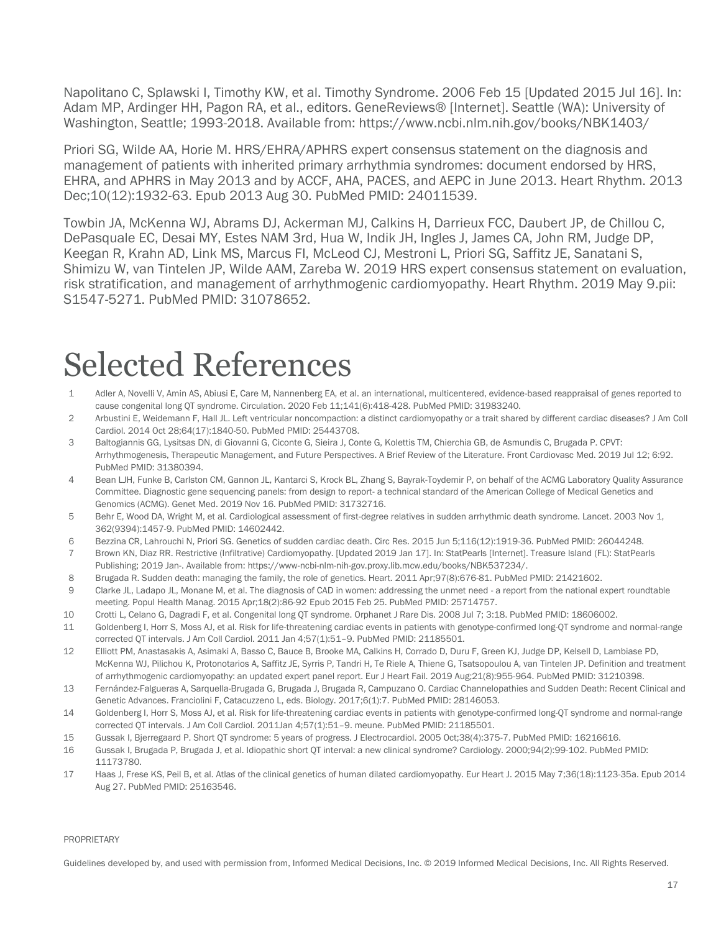Napolitano C, Splawski I, Timothy KW, et al. Timothy Syndrome. 2006 Feb 15 [Updated 2015 Jul 16]. In: Adam MP, Ardinger HH, Pagon RA, et al., editors. GeneReviews® [Internet]. Seattle (WA): University of Washington, Seattle; 1993-2018. Available from: https://www.ncbi.nlm.nih.gov/books/NBK1403/

Priori SG, Wilde AA, Horie M. HRS/EHRA/APHRS expert consensus statement on the diagnosis and management of patients with inherited primary arrhythmia syndromes: document endorsed by HRS, EHRA, and APHRS in May 2013 and by ACCF, AHA, PACES, and AEPC in June 2013. Heart Rhythm. 2013 Dec;10(12):1932-63. Epub 2013 Aug 30. PubMed PMID: 24011539.

Towbin JA, McKenna WJ, Abrams DJ, Ackerman MJ, Calkins H, Darrieux FCC, Daubert JP, de Chillou C, DePasquale EC, Desai MY, Estes NAM 3rd, Hua W, Indik JH, Ingles J, James CA, John RM, Judge DP, Keegan R, Krahn AD, Link MS, Marcus FI, McLeod CJ, Mestroni L, Priori SG, Saffitz JE, Sanatani S, Shimizu W, van Tintelen JP, Wilde AAM, Zareba W. 2019 HRS expert consensus statement on evaluation, risk stratification, and management of arrhythmogenic cardiomyopathy. Heart Rhythm. 2019 May 9.pii: S1547-5271. PubMed PMID: 31078652.

### <span id="page-16-0"></span>Selected References

- 1 Adler A, Novelli V, Amin AS, Abiusi E, Care M, Nannenberg EA, et al. an international, multicentered, evidence-based reappraisal of genes reported to cause congenital long QT syndrome. Circulation. 2020 Feb 11;141(6):418-428. PubMed PMID: 31983240.
- 2 Arbustini E, Weidemann F, Hall JL. Left ventricular noncompaction: a distinct cardiomyopathy or a trait shared by different cardiac diseases? J Am Coll Cardiol. 2014 Oct 28;64(17):1840-50. PubMed PMID: 25443708.
- 3 Baltogiannis GG, Lysitsas DN, di Giovanni G, Ciconte G, Sieira J, Conte G, Kolettis TM, Chierchia GB, de Asmundis C, Brugada P. CPVT: Arrhythmogenesis, Therapeutic Management, and Future Perspectives. A Brief Review of the Literature. Front Cardiovasc Med. 2019 Jul 12; 6:92. PubMed PMID: 31380394.
- 4 Bean LJH, Funke B, Carlston CM, Gannon JL, Kantarci S, Krock BL, Zhang S, Bayrak-Toydemir P, on behalf of the ACMG Laboratory Quality Assurance Committee. Diagnostic gene sequencing panels: from design to report- a technical standard of the American College of Medical Genetics and Genomics (ACMG). Genet Med. 2019 Nov 16. PubMed PMID: 31732716.
- 5 Behr E, Wood DA, Wright M, et al. Cardiological assessment of first-degree relatives in sudden arrhythmic death syndrome. Lancet. 2003 Nov 1, 362(9394):1457-9. PubMed PMID: 14602442.
- 6 Bezzina CR, Lahrouchi N, Priori SG. Genetics of sudden cardiac death. Circ Res. 2015 Jun 5;116(12):1919-36. PubMed PMID: 26044248.
- 7 Brown KN, Diaz RR. Restrictive (Infiltrative) Cardiomyopathy. [Updated 2019 Jan 17]. In: StatPearls [Internet]. Treasure Island (FL): StatPearls Publishing; 2019 Jan-. Available from: https://www-ncbi-nlm-nih-gov.proxy.lib.mcw.edu/books/NBK537234/.
- 8 Brugada R. Sudden death: managing the family, the role of genetics. Heart. 2011 Apr;97(8):676-81. PubMed PMID: 21421602.
- 9 Clarke JL, Ladapo JL, Monane M, et al. The diagnosis of CAD in women: addressing the unmet need a report from the national expert roundtable meeting. Popul Health Manag. 2015 Apr;18(2):86-92 Epub 2015 Feb 25. PubMed PMID: 25714757.
- 10 Crotti L, Celano G, Dagradi F, et al. Congenital long QT syndrome. Orphanet J Rare Dis. 2008 Jul 7; 3:18. PubMed PMID: 18606002.
- 11 Goldenberg I, Horr S, Moss AJ, et al. Risk for life-threatening cardiac events in patients with genotype-confirmed long-QT syndrome and normal-range corrected QT intervals. J Am Coll Cardiol. 2011 Jan 4;57(1):51–9. PubMed PMID: 21185501.
- 12 Elliott PM, Anastasakis A, Asimaki A, Basso C, Bauce B, Brooke MA, Calkins H, Corrado D, Duru F, Green KJ, Judge DP, Kelsell D, Lambiase PD, McKenna WJ, Pilichou K, Protonotarios A, Saffitz JE, Syrris P, Tandri H, Te Riele A, Thiene G, Tsatsopoulou A, van Tintelen JP. Definition and treatment of arrhythmogenic cardiomyopathy: an updated expert panel report. Eur J Heart Fail. 2019 Aug;21(8):955-964. PubMed PMID: 31210398.
- 13 Fernández-Falgueras A, Sarquella-Brugada G, Brugada J, Brugada R, Campuzano O. Cardiac Channelopathies and Sudden Death: Recent Clinical and Genetic Advances. Franciolini F, Catacuzzeno L, eds. Biology. 2017;6(1):7. PubMed PMID: 28146053.
- 14 Goldenberg I, Horr S, Moss AJ, et al. Risk for life-threatening cardiac events in patients with genotype-confirmed long-QT syndrome and normal-range corrected QT intervals. J Am Coll Cardiol. 2011Jan 4;57(1):51–9. meune. PubMed PMID: 21185501.
- 15 Gussak I, Bjerregaard P. Short QT syndrome: 5 years of progress. J Electrocardiol. 2005 Oct;38(4):375-7. PubMed PMID: 16216616.
- 16 Gussak I, Brugada P, Brugada J, et al. Idiopathic short QT interval: a new clinical syndrome? Cardiology. 2000;94(2):99-102. PubMed PMID: 11173780.
- 17 Haas J, Frese KS, Peil B, et al. Atlas of the clinical genetics of human dilated cardiomyopathy. Eur Heart J. 2015 May 7;36(18):1123-35a. Epub 2014 Aug 27. PubMed PMID: 25163546.

#### PROPRIETARY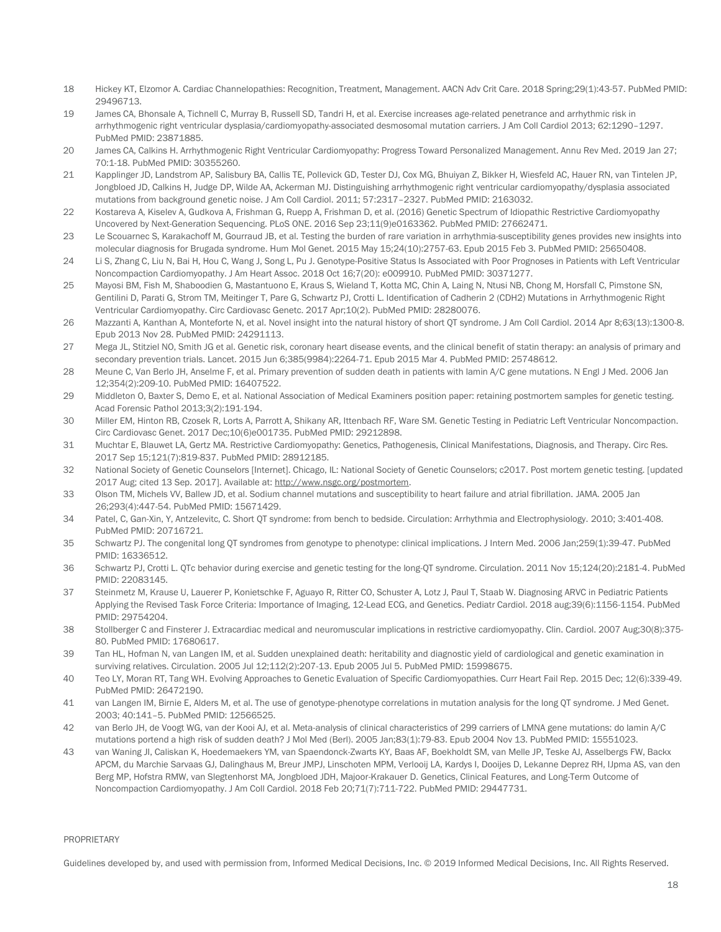- 18 Hickey KT, Elzomor A. Cardiac Channelopathies: Recognition, Treatment, Management. AACN Adv Crit Care. 2018 Spring;29(1):43-57. PubMed PMID: 29496713.
- 19 James CA, Bhonsale A, Tichnell C, Murray B, Russell SD, Tandri H, et al. Exercise increases age-related penetrance and arrhythmic risk in arrhythmogenic right ventricular dysplasia/cardiomyopathy-associated desmosomal mutation carriers. J Am Coll Cardiol 2013; 62:1290–1297. PubMed PMID: 23871885.
- 20 James CA, Calkins H. Arrhythmogenic Right Ventricular Cardiomyopathy: Progress Toward Personalized Management. Annu Rev Med. 2019 Jan 27; 70:1-18. PubMed PMID: 30355260.
- 21 Kapplinger JD, Landstrom AP, Salisbury BA, Callis TE, Pollevick GD, Tester DJ, Cox MG, Bhuiyan Z, Bikker H, Wiesfeld AC, Hauer RN, van Tintelen JP, Jongbloed JD, Calkins H, Judge DP, Wilde AA, Ackerman MJ. Distinguishing arrhythmogenic right ventricular cardiomyopathy/dysplasia associated mutations from background genetic noise. J Am Coll Cardiol. 2011; 57:2317–2327. PubMed PMID: 2163032.
- 22 Kostareva A, Kiselev A, Gudkova A, Frishman G, Ruepp A, Frishman D, et al. (2016) Genetic Spectrum of Idiopathic Restrictive Cardiomyopathy Uncovered by Next-Generation Sequencing. PLoS ONE. 2016 Sep 23;11(9)e0163362. PubMed PMID: 27662471.
- 23 Le Scouarnec S, Karakachoff M, Gourraud JB, et al. Testing the burden of rare variation in arrhythmia-susceptibility genes provides new insights into molecular diagnosis for Brugada syndrome. Hum Mol Genet. 2015 May 15;24(10):2757-63. Epub 2015 Feb 3. PubMed PMID: 25650408.
- 24 Li S, Zhang C, Liu N, Bai H, Hou C, Wang J, Song L, Pu J. Genotype-Positive Status Is Associated with Poor Prognoses in Patients with Left Ventricular Noncompaction Cardiomyopathy. J Am Heart Assoc. 2018 Oct 16;7(20): e009910. PubMed PMID: 30371277.
- 25 Mayosi BM, Fish M, Shaboodien G, Mastantuono E, Kraus S, Wieland T, Kotta MC, Chin A, Laing N, Ntusi NB, Chong M, Horsfall C, Pimstone SN, Gentilini D, Parati G, Strom TM, Meitinger T, Pare G, Schwartz PJ, Crotti L. Identification of Cadherin 2 (CDH2) Mutations in Arrhythmogenic Right Ventricular Cardiomyopathy. Circ Cardiovasc Genetc. 2017 Apr;10(2). PubMed PMID: 28280076.
- 26 Mazzanti A, Kanthan A, Monteforte N, et al. Novel insight into the natural history of short QT syndrome. J Am Coll Cardiol. 2014 Apr 8;63(13):1300-8. Epub 2013 Nov 28. PubMed PMID: 24291113.
- 27 Mega JL, Stitziel NO, Smith JG et al. Genetic risk, coronary heart disease events, and the clinical benefit of statin therapy: an analysis of primary and secondary prevention trials. Lancet. 2015 Jun 6;385(9984):2264-71. Epub 2015 Mar 4. PubMed PMID: 25748612.
- 28 Meune C, Van Berlo JH, Anselme F, et al. Primary prevention of sudden death in patients with lamin A/C gene mutations. N Engl J Med. 2006 Jan 12;354(2):209-10. PubMed PMID: 16407522.
- 29 Middleton O, Baxter S, Demo E, et al. National Association of Medical Examiners position paper: retaining postmortem samples for genetic testing. Acad Forensic Pathol 2013;3(2):191-194.
- 30 Miller EM, Hinton RB, Czosek R, Lorts A, Parrott A, Shikany AR, Ittenbach RF, Ware SM. Genetic Testing in Pediatric Left Ventricular Noncompaction. Circ Cardiovasc Genet. 2017 Dec;10(6)e001735. PubMed PMID: 29212898.
- 31 Muchtar E, Blauwet LA, Gertz MA. Restrictive Cardiomyopathy: Genetics, Pathogenesis, Clinical Manifestations, Diagnosis, and Therapy. Circ Res. 2017 Sep 15;121(7):819-837. PubMed PMID: 28912185.
- 32 National Society of Genetic Counselors [Internet]. Chicago, IL: National Society of Genetic Counselors; c2017. Post mortem genetic testing. [updated 2017 Aug; cited 13 Sep. 2017]. Available at[: http://www.nsgc.org/postmortem.](http://www.nsgc.org/postmortem)
- 33 Olson TM, Michels VV, Ballew JD, et al. Sodium channel mutations and susceptibility to heart failure and atrial fibrillation. JAMA. 2005 Jan 26;293(4):447-54. PubMed PMID: 15671429.
- 34 Patel, C, Gan-Xin, Y, Antzelevitc, C. Short QT syndrome: from bench to bedside. Circulation: Arrhythmia and Electrophysiology. 2010; 3:401-408. PubMed PMID: 20716721.
- 35 Schwartz PJ. The congenital long QT syndromes from genotype to phenotype: clinical implications. J Intern Med. 2006 Jan;259(1):39-47. PubMed PMID: 16336512.
- 36 Schwartz PJ, Crotti L. QTc behavior during exercise and genetic testing for the long-QT syndrome. Circulation. 2011 Nov 15;124(20):2181-4. PubMed PMID: 22083145.
- 37 Steinmetz M, Krause U, Lauerer P, Konietschke F, Aguayo R, Ritter CO, Schuster A, Lotz J, Paul T, Staab W. Diagnosing ARVC in Pediatric Patients Applying the Revised Task Force Criteria: Importance of Imaging, 12-Lead ECG, and Genetics. Pediatr Cardiol. 2018 aug;39(6):1156-1154. PubMed PMID: 29754204.
- 38 Stollberger C and Finsterer J. Extracardiac medical and neuromuscular implications in restrictive cardiomyopathy. Clin. Cardiol. 2007 Aug;30(8):375- 80. PubMed PMID: 17680617.
- 39 Tan HL, Hofman N, van Langen IM, et al. Sudden unexplained death: heritability and diagnostic yield of cardiological and genetic examination in surviving relatives. Circulation. 2005 Jul 12;112(2):207-13. Epub 2005 Jul 5. PubMed PMID: 15998675.
- 40 Teo LY, Moran RT, Tang WH. Evolving Approaches to Genetic Evaluation of Specific Cardiomyopathies. Curr Heart Fail Rep. 2015 Dec; 12(6):339-49. PubMed PMID: 26472190.
- 41 van Langen IM, Birnie E, Alders M, et al. The use of genotype-phenotype correlations in mutation analysis for the long QT syndrome. J Med Genet. 2003; 40:141–5. PubMed PMID: 12566525.
- 42 van Berlo JH, de Voogt WG, van der Kooi AJ, et al. Meta-analysis of clinical characteristics of 299 carriers of LMNA gene mutations: do lamin A/C mutations portend a high risk of sudden death? J Mol Med (Berl). 2005 Jan;83(1):79-83. Epub 2004 Nov 13. PubMed PMID: 15551023.
- 43 van Waning JI, Caliskan K, Hoedemaekers YM, van Spaendonck-Zwarts KY, Baas AF, Boekholdt SM, van Melle JP, Teske AJ, Asselbergs FW, Backx APCM, du Marchie Sarvaas GJ, Dalinghaus M, Breur JMPJ, Linschoten MPM, Verlooij LA, Kardys I, Dooijes D, Lekanne Deprez RH, IJpma AS, van den Berg MP, Hofstra RMW, van Slegtenhorst MA, Jongbloed JDH, Majoor-Krakauer D. Genetics, Clinical Features, and Long-Term Outcome of Noncompaction Cardiomyopathy. J Am Coll Cardiol. 2018 Feb 20;71(7):711-722. PubMed PMID: 29447731.

#### PROPRIETARY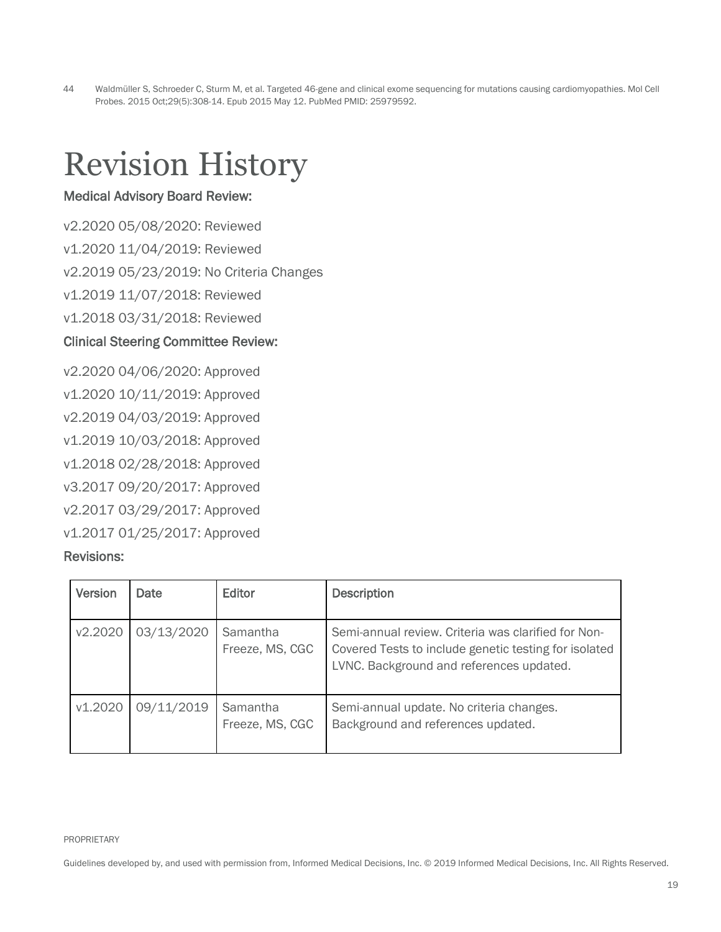44 Waldmüller S, Schroeder C, Sturm M, et al. Targeted 46-gene and clinical exome sequencing for mutations causing cardiomyopathies. Mol Cell Probes. 2015 Oct;29(5):308-14. Epub 2015 May 12. PubMed PMID: 25979592.

### <span id="page-18-0"></span>Revision History

#### Medical Advisory Board Review:

v2.2020 05/08/2020: Reviewed

v1.2020 11/04/2019: Reviewed

v2.2019 05/23/2019: No Criteria Changes

v1.2019 11/07/2018: Reviewed

v1.2018 03/31/2018: Reviewed

#### Clinical Steering Committee Review:

v2.2020 04/06/2020: Approved v1.2020 10/11/2019: Approved v2.2019 04/03/2019: Approved v1.2019 10/03/2018: Approved v1.2018 02/28/2018: Approved v3.2017 09/20/2017: Approved v2.2017 03/29/2017: Approved v1.2017 01/25/2017: Approved Revisions:

| <b>Version</b> | <b>Date</b> | Editor                      | <b>Description</b>                                                                                                                                       |
|----------------|-------------|-----------------------------|----------------------------------------------------------------------------------------------------------------------------------------------------------|
| v2.2020        | 03/13/2020  | Samantha<br>Freeze, MS, CGC | Semi-annual review. Criteria was clarified for Non-<br>Covered Tests to include genetic testing for isolated<br>LVNC. Background and references updated. |
| v1.2020        | 09/11/2019  | Samantha<br>Freeze, MS, CGC | Semi-annual update. No criteria changes.<br>Background and references updated.                                                                           |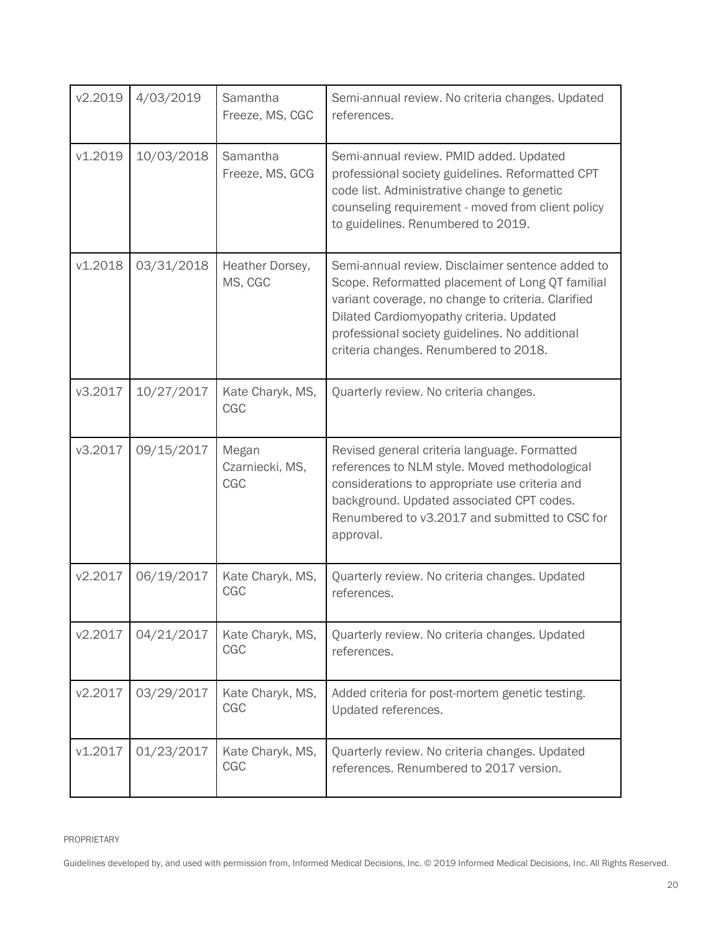| v2.2019 | 4/03/2019  | Samantha<br>Freeze, MS, CGC     | Semi-annual review. No criteria changes. Updated<br>references.                                                                                                                                                                                                                                   |
|---------|------------|---------------------------------|---------------------------------------------------------------------------------------------------------------------------------------------------------------------------------------------------------------------------------------------------------------------------------------------------|
| v1.2019 | 10/03/2018 | Samantha<br>Freeze, MS, GCG     | Semi-annual review. PMID added. Updated<br>professional society guidelines. Reformatted CPT<br>code list. Administrative change to genetic<br>counseling requirement - moved from client policy<br>to guidelines. Renumbered to 2019.                                                             |
| v1.2018 | 03/31/2018 | Heather Dorsey,<br>MS, CGC      | Semi-annual review. Disclaimer sentence added to<br>Scope. Reformatted placement of Long QT familial<br>variant coverage, no change to criteria. Clarified<br>Dilated Cardiomyopathy criteria. Updated<br>professional society guidelines. No additional<br>criteria changes. Renumbered to 2018. |
| v3.2017 | 10/27/2017 | Kate Charyk, MS,<br>CGC         | Quarterly review. No criteria changes.                                                                                                                                                                                                                                                            |
| v3.2017 | 09/15/2017 | Megan<br>Czarniecki, MS,<br>CGC | Revised general criteria language. Formatted<br>references to NLM style. Moved methodological<br>considerations to appropriate use criteria and<br>background. Updated associated CPT codes.<br>Renumbered to v3.2017 and submitted to CSC for<br>approval.                                       |
| v2.2017 | 06/19/2017 | Kate Charyk, MS,<br>CGC         | Quarterly review. No criteria changes. Updated<br>references.                                                                                                                                                                                                                                     |
| v2.2017 | 04/21/2017 | Kate Charyk, MS,<br><b>CGC</b>  | Quarterly review. No criteria changes. Updated<br>references.                                                                                                                                                                                                                                     |
| v2.2017 | 03/29/2017 | Kate Charyk, MS,<br>CGC         | Added criteria for post-mortem genetic testing.<br>Updated references.                                                                                                                                                                                                                            |
| v1.2017 | 01/23/2017 | Kate Charyk, MS,<br><b>CGC</b>  | Quarterly review. No criteria changes. Updated<br>references. Renumbered to 2017 version.                                                                                                                                                                                                         |

PROPRIETARY